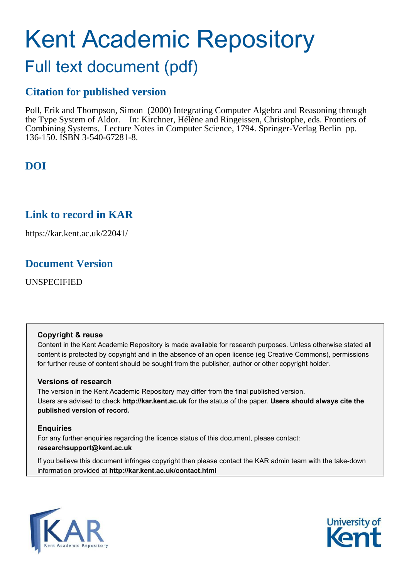# Kent Academic Repository

# Full text document (pdf)

# **Citation for published version**

Poll, Erik and Thompson, Simon (2000) Integrating Computer Algebra and Reasoning through the Type System of Aldor. In: Kirchner, Hélène and Ringeissen, Christophe, eds. Frontiers of Combining Systems. Lecture Notes in Computer Science, 1794. Springer-Verlag Berlin pp. 136-150. ISBN 3-540-67281-8.

# **DOI**

# **Link to record in KAR**

https://kar.kent.ac.uk/22041/

# **Document Version**

UNSPECIFIED

# **Copyright & reuse**

Content in the Kent Academic Repository is made available for research purposes. Unless otherwise stated all content is protected by copyright and in the absence of an open licence (eg Creative Commons), permissions for further reuse of content should be sought from the publisher, author or other copyright holder.

# **Versions of research**

The version in the Kent Academic Repository may differ from the final published version. Users are advised to check **http://kar.kent.ac.uk** for the status of the paper. **Users should always cite the published version of record.**

# **Enquiries**

For any further enquiries regarding the licence status of this document, please contact: **researchsupport@kent.ac.uk**

If you believe this document infringes copyright then please contact the KAR admin team with the take-down information provided at **http://kar.kent.ac.uk/contact.html**



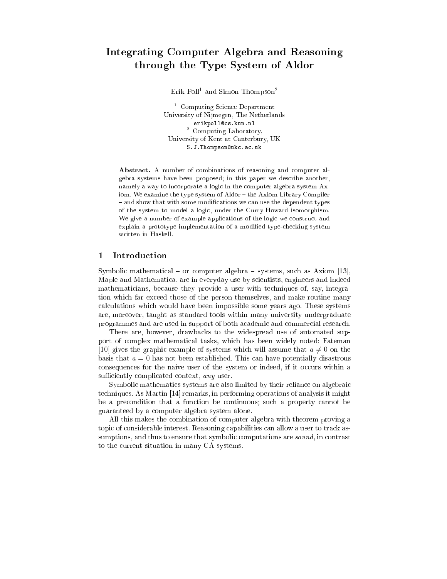# Integrating Computer Algebra and Reasoning through the Type System of Aldor

Erik Poll<sup>1</sup> and Simon Thompson<sup>2</sup>

– Computing Science Department University of Nijmegen, The Netherlands erikpoll@cs.kun.nl <sup>2</sup> Computing Laboratory, University of Kent at Canterbury, UK S.J.Thompson@ukc.ac.uk

Abstract. A number of combinations of reasoning and computer algebra systems have been proposed; in this paper we des
ribe another, namely a way to incorporate a logic in the computer algebra system Axiom. We examine the type system of Aldor – the Axiom Library Compiler - and show that with some modifications we can use the dependent types of the system to model a logi
, under the Curry-Howard isomorphism. We give a number of example applications of the logic we construct and explain a prototype implementation of a modified type-checking system written in Haskell.

# <sup>1</sup> Introdu
tion

Symbolic mathematical – or computer algebra – systems, such as Axiom [13], Maple and Mathemati
a, are in everyday use by s
ientists, engineers and indeed mathematicians, because they provide a user with techniques of, say, integration whi
h far ex
eed those of the person themselves, and make routine many al
ulations whi
h would have been impossible some years ago. These systems are, moreover, taught as standard tools within many university undergraduate programmes and are used in support of both a
ademi and ommer
ial resear
h.

There are, however, drawba
ks to the widespread use of automated support of omplex mathemati
al tasks, whi
h has been widely noted: Fateman [10] gives the graphic example of systems which will assume that  $a \neq 0$  on the basis that  $a = 0$  has not been established. This can have potentially disastrous consequences for the naive user of the system or indeed, if it occurs within a sufficiently complicated context, any user.

Symbolic mathematics systems are also limited by their reliance on algebraic techniques. As Martin [14] remarks, in performing operations of analysis it might be a precondition that a function be continuous; such a property cannot be guaranteed by a omputer algebra system alone.

All this makes the ombination of omputer algebra with theorem proving a topic of considerable interest. Reasoning capabilities can allow a user to track assumptions, and thus to ensure that symbolic computations are *sound*, in contrast to the urrent situation in many CA systems.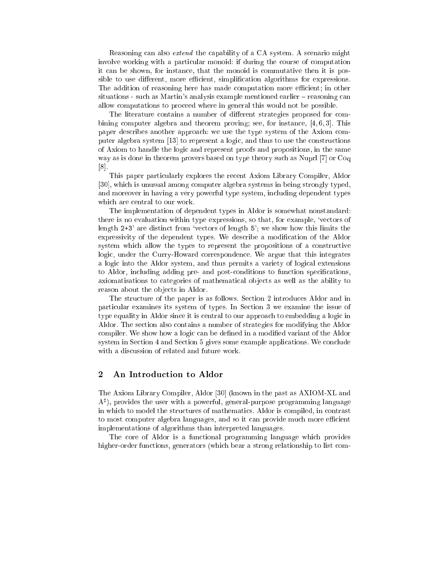Reasoning can also *extend* the capability of a CA system. A scenario might involve working with a particular monoid: if during the course of computation it an be shown, for instan
e, that the monoid is ommutative then it is possible to use different, more efficient, simplification algorithms for expressions. The addition of reasoning here has made computation more efficient; in other situations - such as Martin's analysis example mentioned earlier – reasoning can allow omputations to pro
eed where in general this would not be possible.

The literature contains a number of different strategies proposed for combining computer algebra and theorem proving; see, for instance,  $[4, 6, 3]$ . This paper describes another approach: we use the type system of the Axiom computer algebra system  $[13]$  to represent a logic, and thus to use the constructions of Axiom to handle the logi and represent proofs and propositions, in the same way as is done in theorem provers based on type theory such as Nuprl  $[7]$  or Coq  $[8]$ .

This paper particularly explores the recent Axiom Library Compiler, Aldor [30], which is unusual among computer algebra systems in being strongly typed, and moreover in having a very powerful type system, in
luding dependent types which are central to our work.

The implementation of dependent types in Aldor is somewhat nonstandard: there is no evaluation within type expressions, so that, for example, 'vectors of length  $2+3'$  are distinct from 'vectors of length  $5'$ ; we show how this limits the expressivity of the dependent types. We describe a modification of the Aldor system which allow the types to represent the propositions of a constructive logic, under the Curry-Howard correspondence. We argue that this integrates a logi into the Aldor system, and thus permits a variety of logi
al extensions to Aldor, including adding pre- and post-conditions to function specifications, axiomatisations to categories of mathematical objects as well as the ability to reason about the objects in Aldor.

The stru
ture of the paper is as follows. Se
tion 2 introdu
es Aldor and in parti
ular examines its system of types. In Se
tion 3 we examine the issue of type equality in Aldor since it is central to our approach to embedding a logic in Aldor. The se
tion also ontains a number of strategies for modifying the Aldor compiler. We show how a logic can be defined in a modified variant of the Aldor system in Section 4 and Section 5 gives some example applications. We conclude with a discussion of related and future work.

# 2 An Introdu
tion to Aldor

The Axiom Library Compiler, Aldor [30] (known in the past as AXIOM-XL and A<sub>"</sub>), provides the user with a powerful, general-purpose programming language in whi
h to model the stru
tures of mathemati
s. Aldor is ompiled, in ontrast to most computer algebra languages, and so it can provide much more efficient implementations of algorithms than interpreted languages.

The ore of Aldor is a fun
tional programming language whi
h provides higher-order functions, generators (which bear a strong relationship to list com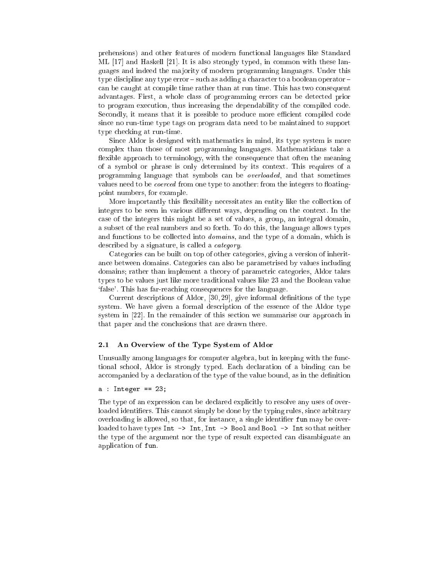prehensions) and other features of modern fun
tional languages like Standard ML  $[17]$  and Haskell  $[21]$ . It is also strongly typed, in common with these languages and indeed the majority of modern programming languages. Under this type discipline any type error – such as adding a character to a boolean operator – an be aught at ompile time rather than at run time. This has two onsequent advantages. First, a whole lass of programming errors an be dete
ted prior to program execution, thus increasing the dependability of the compiled code. Secondly, it means that it is possible to produce more efficient compiled code sin
e no run-time type tags on program data need to be maintained to support type he
king at run-time.

Sin
e Aldor is designed with mathemati
s in mind, its type system is more complex than those of most programming languages. Mathematicians take a flexible approach to terminology, with the consequence that often the meaning of a symbol or phrase is only determined by its ontext. This requires of a programming language that symbols an be overloaded, and that sometimes values need to be *coerced* from one type to another: from the integers to floatingpoint numbers, for example.

More importantly this flexibility necessitates an entity like the collection of integers to be seen in various different ways, depending on the context. In the ase of the integers this might be a set of values, a group, an integral domain, a subset of the real numbers and so forth. To do this, the language allows types and functions to be collected into *domains*, and the type of a domain, which is described by a signature, is called a *category*.

Categories can be built on top of other categories, giving a version of inheritan
e between domains. Categories an also be parametrised by values in
luding domains; rather than implement a theory of parametric categories, Aldor takes types to be values just like more traditional values like 23 and the Boolean value 'false'. This has far-reaching consequences for the language.

Current descriptions of Aldor,  $[30, 29]$ , give informal definitions of the type system. We have given a formal description of the essence of the Aldor type system in  $[22]$ . In the remainder of this section we summarise our approach in that paper and the on
lusions that are drawn there.

# 2.1 An Overview of the Type System of Aldor

Unusually among languages for computer algebra, but in keeping with the functional school, Aldor is strongly typed. Each declaration of a binding can be accompanied by a declaration of the type of the value bound, as in the definition

### a : Integer == 23;

The type of an expression can be declared explicitly to resolve any uses of overloaded identifiers. This cannot simply be done by the typing rules, since arbitrary overloading is allowed, so that, for instance, a single identifier fun may be overloaded to have types Int  $\rightarrow$  Int, Int  $\rightarrow$  Bool and Bool  $\rightarrow$  Int so that neither the type of the argument nor the type of result expected can disambiguate an application of fun.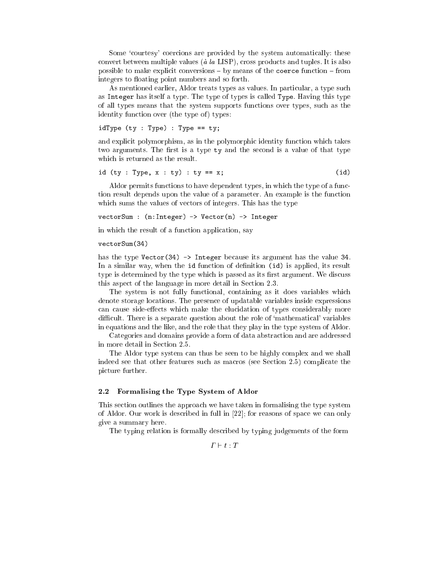Some 'courtesy' coercions are provided by the system automatically: these convert between multiple values ( $\dot{a} \, la$  LISP), cross products and tuples. It is also possible to make explicit conversions  $-$  by means of the coerce function  $-$  from integers to floating point numbers and so forth.

As mentioned earlier, Aldor treats types as values. In particular, a type such as Integer has itself a type. The type of types is alled Type. Having this type of all types means that the system supports fun
tions over types, su
h as the identity function over (the type of) types:

```
idType (ty : Type) : Type == ty;
```
and explicit polymorphism, as in the polymorphic identity function which takes two arguments. The first is a type ty and the second is a value of that type which is returned as the result.

$$
id (ty : Type, x : ty) : ty == x;
$$
 (id)

Aldor permits functions to have dependent types, in which the type of a function result depends upon the value of a parameter. An example is the fun
tion which sums the values of vectors of integers. This has the type

ve
torSum : (n:Integer) -> Ve
tor(n) -> Integer

in which the result of a function application, say

## ve
torSum(34)

has the type Vector(34) -> Integer because its argument has the value 34. In a similar way, when the id function of definition (id) is applied, its result type is determined by the type which is passed as its first argument. We discuss this aspe
t of the language in more detail in Se
tion 2.3.

The system is not fully functional, containing as it does variables which denote storage locations. The presence of updatable variables inside expressions can cause side-effects which make the elucidation of types considerably more difficult. There is a separate question about the role of 'mathematical' variables in equations and the like, and the role that they play in the type system of Aldor.

Categories and domains provide a form of data abstra
tion and are addressed in more detail in Se
tion 2.5.

The Aldor type system can thus be seen to be highly complex and we shall indeed see that other features such as macros (see Section 2.5) complicate the picture further.

#### 2.2 Formalising the Type System of Aldor 2.2

This se
tion outlines the approa
h we have taken in formalising the type system of Aldor. Our work is described in full in [22]; for reasons of space we can only give a summary here.

The typing relation is formally des
ribed by typing judgements of the form

 $\Gamma \vdash t : T$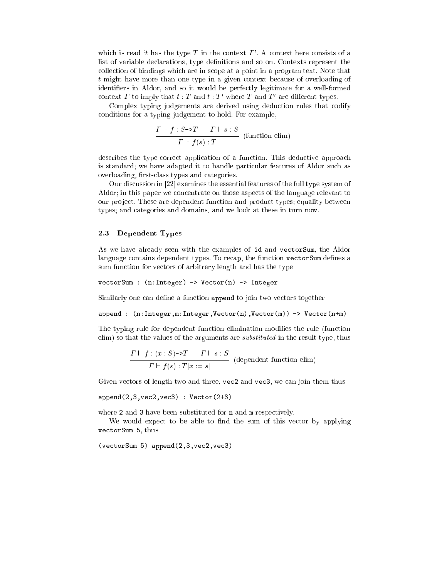which is read 't has the type  $T$  in the context  $\Gamma$ '. A context here consists of a list of variable declarations, type definitions and so on. Contexts represent the olle
tion of bindings whi
h are in s
ope at a point in a program text. Note that t might have more than one type in a given context because of overloading of identifiers in Aldor, and so it would be perfectly legitimate for a well-formed context  $I$  to imply that  $t : I$  and  $t : I$  where  $I$  and  $I$  are different types.

Complex typing judgements are derived using deduction rules that codify onditions for a typing judgement to hold. For example,

$$
\frac{\Gamma \vdash f : S \rightarrow T \quad \Gamma \vdash s : S}{\Gamma \vdash f(s) : T} \quad \text{(function elim)}
$$

describes the type-correct application of a function. This deductive approach is standard; we have adapted it to handle particular features of Aldor such as overloading, first-class types and categories.

Our discussion in [22] examines the essential features of the full type system of Aldor; in this paper we concentrate on those aspects of the language relevant to our project. These are dependent function and product types; equality between types; and ategories and domains, and we look at these in turn now.

# 2.3 Dependent Types

As we have already seen with the examples of id and vectorSum, the Aldor language contains dependent types. To recap, the function vectorSum defines a sum function for vectors of arbitrary length and has the type

ve
torSum : (n:Integer) -> Ve
tor(n) -> Integer

Similarly one can define a function append to join two vectors together

tor(n), Verent (n) – (n) – (n) – (n) (n) (n) (n) (n) (n) (n) (n) – (n) – (n) – (n) – (n) – (n) – (n) – (n) – (n) – (

The typing rule for dependent function elimination modifies the rule (function elim) so that the values of the arguments are substituted in the result type, thus

$$
\frac{\Gamma \vdash f : (x : S) \to T \qquad \Gamma \vdash s : S}{\Gamma \vdash f(s) : T[x := s]} \text{ (dependent function elim)}
$$

Given vectors of length two and three, vec2 and vec3, we can join them thus

```
append(2,3,ve
2,ve
3) : Ve
tor(2+3)
```
where 2 and 3 have been substituted for n and m respectively.

We would expect to be able to find the sum of this vector by applying vectors to the sum to the sum that the sum to the sum to the sum to the sum to the sum to the sum to the sum to

(ve
torSum 5) append(2,3,ve
2,ve
3)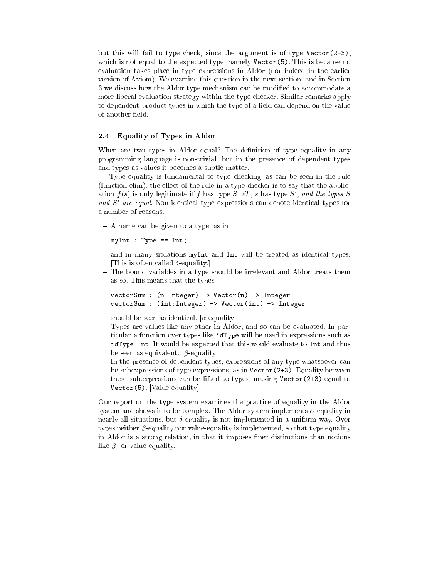but this will fail to type check, since the argument is of type Vector  $(2+3)$ , which is not equal to the expected type, namely  $\text{Vector}(5)$ . This is because no evaluation takes place in type expressions in Aldor (nor indeed in the earlier version of Axiom). We examine this question in the next se
tion, and in Se
tion 3 we discuss how the Aldor type mechanism can be modified to accommodate a more liberal evaluation strategy within the type he
ker. Similar remarks apply to dependent product types in which the type of a field can depend on the value of another field.

# 2.4 Equality of Types in Aldor

When are two types in Aldor equal? The definition of type equality in any programming language is non-trivial, but in the presen
e of dependent types and types as values it be
omes a subtle matter.

Type equality is fundamental to type checking, as can be seen in the rule  $(function$  elim): the effect of the rule in a type-checker is to say that the application f (s) is only legitimate if f has type  $S$ ->1, s has type  $S$  , and the types  $S$ and  $S$  are equal. Non-identical type expressions can denote identical types for a number of reasons.

 $\,$   $\,$  name can be given to a type, as in

```
myInt : Type == Int;
```
and in many situations myInt and Int will be treated as identical types. [This is often called  $\delta$ -equality.]

 ${\scriptstyle\top}$  the bound variables in a type should be irrelevant and Aldor treats them as so. This means that the types

ve
torSum : (n:Integer) -> Ve
tor(n) -> Integer ve
torSum : (int:Integer) -> Ve
tor(int) -> Integer

should be seen as identical.  $[\alpha$ -equality

- ${\scriptstyle\top}$  rypes are values like any other in Aldor, and so can be evaluated. In particular a function over types like idType will be used in expressions such as id is part into the experiment that the sum of the sum of the sum of the sum of the sum of the sum of the sum o be seen as equivalent.  $[\beta$ -equality
- $-$  in the presence of dependent types, expressions of any type whatsoever can be subexpressions of type expressions, as in  $Vector(2+3)$ . Equality between these subexpressions can be lifted to types, making  $Vector(2+3)$  equal to  $Vector(5)$ . [Value-equality]

Our report on the type system examines the practice of equality in the Aldor system and shows it to be complex. The Aldor system implements  $\alpha$ -equality in nearly all situations, but  $\delta$ -equality is not implemented in a uniform way. Over types neither  $\beta$ -equality nor value-equality is implemented, so that type equality in Aldor is a strong relation, in that it imposes finer distinctions than notions like  $\beta$ - or value-equality.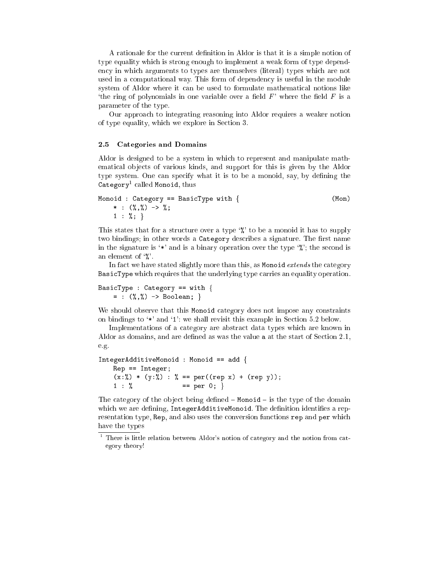A rationale for the current definition in Aldor is that it is a simple notion of type equality whi
h is strong enough to implement a weak form of type dependen
y in whi
h arguments to types are themselves (literal) types whi
h are not used in a computational way. This form of dependency is useful in the module system of Aldor where it can be used to formulate mathematical notions like 'the ring of polynomials in one variable over a field  $F'$  where the field  $F$  is a parameter of the type.

Our approa
h to integrating reasoning into Aldor requires a weaker notion of type equality, whi
h we explore in Se
tion 3.

#### 2.5Categories and Domains

Aldor is designed to be a system in whi
h to represent and manipulate mathematical objects of various kinds, and support for this is given by the Aldor type system. One can specify what it is to be a monoid, say, by defining the <code>vategory</code> called <code>monoid</code>, thus

```
Monoid : Category == BasicType with {
                                                                                   (Mon)* : (\frac{9}{6}, \frac{9}{6}) -> %;
     1 : \%;}
```
This states that for a structure over a type  $\mathcal{C}$  to be a monoid it has to supply two bindings; in other words a Category describes a signature. The first name in the signature is  $\ast \ast$  and is a binary operation over the type  $\mathcal{C}'$ ; the second is an element of  $\mathcal{C}$ .

In fact we have stated slightly more than this, as Monoid extends the category Basi
Type whi
h requires that the underlying type arries an equality operation.

```
BasicType : Category == with \{= : (\%, \%) -> Boolean; }
```
We should observe that this Monoid category does not impose any constraints on bindings to '\*' and '1': we shall revisit this example in Section 5.2 below.

Implementations of a category are abstract data types which are known in Aldor as domains, and are defined as was the value a at the start of Section 2.1, e.g.

```
IntegerAdditiveMonoid : Monoid == add {
   Rep == Integer;(x:\%) * (y:\%) : % == per((rep x) + (rep y));1 : \% == per 0; }
```
The category of the object being defined  $-$  Monoid  $-$  is the type of the domain which we are defining, IntegerAdditiveMonoid. The definition identifies a representation type, Rep, and also uses the conversion functions rep and per which have the types

<sup>&</sup>lt;sup>1</sup> There is little relation between Aldor's notion of category and the notion from category theory!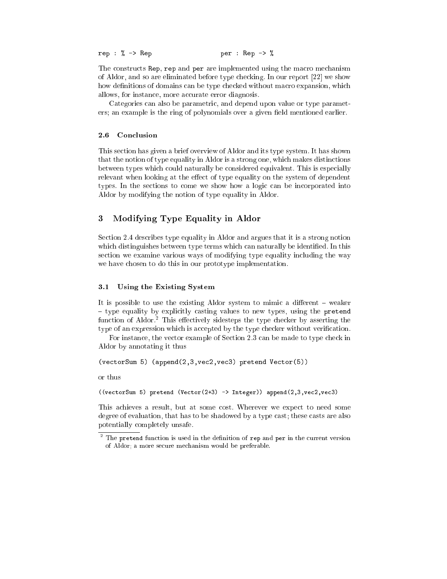$rep : % \rightarrow Rep$  per : Rep  $\rightarrow %$ 

The constructs Rep, rep and per are implemented using the macro mechanism of Aldor, and so are eliminated before type checking. In our report  $[22]$  we show how definitions of domains can be type checked without macro expansion, which allows, for instance, more accurate error diagnosis.

Categories an also be parametri
, and depend upon value or type parameters; an example is the ring of polynomials over a given field mentioned earlier.

This se
tion has given a brief overview of Aldor and its type system. It has shown that the notion of type equality in Aldor is a strong one, which makes distinctions between types which could naturally be considered equivalent. This is especially relevant when looking at the effect of type equality on the system of dependent types. In the sections to come we show how a logic can be incorporated into Aldor by modifying the notion of type equality in Aldor.

# 3 Modifying Type Equality in Aldor

Section 2.4 describes type equality in Aldor and argues that it is a strong notion which distinguishes between type terms which can naturally be identified. In this section we examine various ways of modifying type equality including the way we have chosen to do this in our prototype implementation.

#### 3.1Using the Existing System

It is possible to use the existing Aldor system to mimic a different  $-$  weaker - type equality by explicitly casting values to new types, using the pretend function of Aldor. This effectively sidesteps the type checker by asserting the type of an expression which is accepted by the type checker without verification.

For instance, the vector example of Section 2.3 can be made to type check in Aldor by annotating it thus

(vectorSum 5) (append(2,3, vec2, vec3) pretend Vector(5))

or thus

 $\mathcal{N}$  ,  $\mathcal{N}$  ,  $\mathcal{N}$  ,  $\mathcal{N}$  ,  $\mathcal{N}$  ,  $\mathcal{N}$  ,  $\mathcal{N}$  ,  $\mathcal{N}$  ,  $\mathcal{N}$  ,  $\mathcal{N}$ 

This achieves a result, but at some cost. Wherever we expect to need some degree of evaluation, that has to be shadowed by a type cast; these casts are also potentially ompletely unsafe.

 $\textsuperscript{2}$  The pretend function is used in the definition of rep and per in the current version of Aldor; <sup>a</sup> more se
ure me
hanism would be preferable.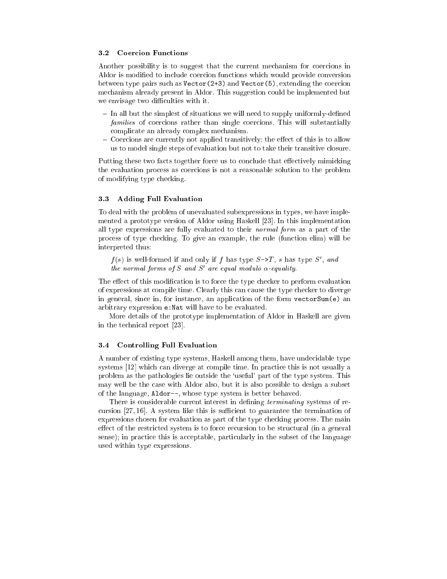#### $3.2$ Coercion Functions

Another possibility is to suggest that the current mechanism for coercions in Aldor is modified to include coercion functions which would provide conversion between type pairs such as  $Vector(2+3)$  and  $Vector(5)$ , extending the coercion me
hanism already present in Aldor. This suggestion ould be implemented but we envisage two difficulties with it.

- ${\rm -}$  In all but the simplest of situations we will need to supply uniformly-defined families of oer
ions rather than single oer
ions. This will substantially ompli
ate an already omplex me
hanism.
- Coercions are currently not applied transitively: the effect of this is to allow us to model single steps of evaluation but not to take their transitive losure.

Putting these two facts together force us to conclude that effectively mimicking the evaluation pro
ess as oer
ions is not a reasonable solution to the problem of modifying type he
king.

# 3.3 Adding Full Evaluation

To deal with the problem of unevaluated subexpressions in types, we have implemented a prototype version of Aldor using Haskell [23]. In this implementation all type expressions are fully evaluated to their normal form as a part of the pro
ess of type he
king. To give an example, the rule (fun
tion elim) will be interpreted thus:

 $f(s)$  is well-formed if and only if f has type  $S-Y$ , s has type  $S'$ , and the normal forms of  $S$  and  $S$  are equal modulo  $\alpha$ -equality.

The effect of this modification is to force the type checker to perform evaluation of expressions at ompile time. Clearly this an ause the type he
ker to diverge in general, since in, for instance, an application of the form vectorSum(e) an arbitrary expression e:Nat will have to be evaluated.

More details of the prototype implementation of Aldor in Haskell are given in the technical report [23].

### 3.4 Controlling Full Evaluation

A number of existing type systems, Haskell among them, have unde
idable type systems  $[12]$  which can diverge at compile time. In practice this is not usually a problem as the pathologies lie outside the `useful' part of the type system. This may well be the ase with Aldor also, but it is also possible to design a subset of the language, Aldor--, whose type system is better behaved.

There is considerable current interest in defining terminating systems of recursion  $[27, 16]$ . A system like this is sufficient to guarantee the termination of expressions chosen for evaluation as part of the type checking process. The main effect of the restricted system is to force recursion to be structural (in a general sense); in practice this is acceptable, particularly in the subset of the language used within type expressions.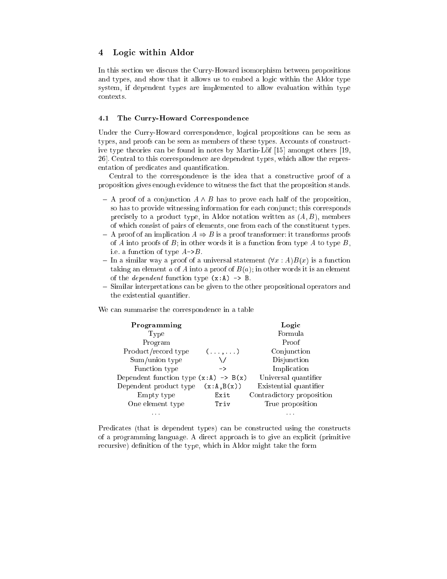# 4 Logi within Aldor

In this section we discuss the Curry-Howard isomorphism between propositions and types, and show that it allows us to embed a logic within the Aldor type system, if dependent types are implemented to allow evaluation within type ontexts.

#### 4.1The Curry-Howard Corresponden
e

Under the Curry-Howard orresponden
e, logi
al propositions an be seen as types, and proofs can be seen as members of these types. Accounts of constructive type theories can be found in notes by Martin-Löf  $[15]$  amongst others  $[19]$ , 26. Central to this correspondence are dependent types, which allow the representation of predicates and quantification.

Central to the correspondence is the idea that a constructive proof of a proposition gives enough evidence to witness the fact that the proposition stands.

- ${+}$  A proof of a conjunction  $A \wedge B$  has to prove each half of the proposition, so has to provide witnessing information for each conjunct; this corresponds precisely to a product type, in Aldor notation written as  $(A, B)$ , members of whi
h onsist of pairs of elements, one from ea
h of the onstituent types.
- ${\rm -A}$  proof of an implication  $A \Rightarrow B$  is a proof transformer: it transforms proofs of A into proofs of  $B_i$ ; in other words it is a function from type A to type B, i.e. a function of type  $A \rightarrow B$ .
- ${\sf I}$  In a similar way a proof of a universal statement  $(\forall x : A)B(x)$  is a function taking an element a of A into a proof of  $B(a)$ ; in other words it is an element of the *dependent* function type  $(x : A) \rightarrow B$ .
- { Similar interpretations an be given to the other propositional operators and the existential quantifier.

We can summarise the correspondence in a table

| Programming                                        |                   | Logic                     |
|----------------------------------------------------|-------------------|---------------------------|
| Type                                               |                   | Formula                   |
| Program                                            |                   | Proof                     |
| Product/record type                                | $(\ldots,\ldots)$ | Conjunction               |
| Sum/union type                                     |                   | Disjunction               |
| Function type                                      | ->                | Implication               |
| Dependent function type $(x : A) \rightarrow B(x)$ |                   | Universal quantifier      |
| Dependent product type                             | (x:A,B(x))        | Existential quantifier    |
| Empty type                                         | Exit              | Contradictory proposition |
| One element type                                   | Triv              | True proposition          |
| .                                                  |                   | .                         |

Predicates (that is dependent types) can be constructed using the constructs of a programming language. A dire
t approa
h is to give an expli
it (primitive recursive) definition of the type, which in Aldor might take the form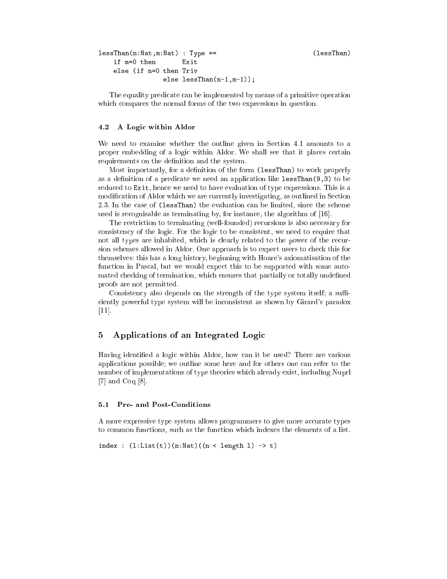```
lessThan(n:Nat,m:Nat) : Type == (lessThan)
   else (if no the control
             else lessThan(n-1,m-1));
```
The equality predicate can be implemented by means of a primitive operation which compares the normal forms of the two expressions in question.

# 4.2 A Logi within Aldor

We need to examine whether the outline given in Section 4.1 amounts to a proper embedding of a logic within Aldor. We shall see that it places certain requirements on the definition and the system.

Most importantly, for a definition of the form (lessThan) to work properly as a definition of a predicate we need an application like  $l$ essThan $(9,3)$  to be reduced to Exit, hence we need to have evaluation of type expressions. This is a modification of Aldor which we are currently investigating, as outlined in Section 2.3. In the case of (lessThan) the evaluation can be limited, since the scheme used is recognisable as terminating by, for instance, the algorithm of  $[16]$ .

The restriction to terminating (well-founded) recursions is also necessary for consistency of the logic. For the logic to be consistent, we need to require that not all types are inhabited, which is clearly related to the power of the recursion schemes allowed in Aldor. One approach is to expect users to check this for themselves: this has a long history, beginning with Hoare's axiomatisation of the function in Pascal, but we would expect this to be supported with some automated checking of termination, which ensures that partially or totally undefined proofs are not permitted.

Consistency also depends on the strength of the type system itself; a sufficiently powerful type system will be inconsistent as shown by Girard's paradox  $[11]$ .

#### Applications of an Integrated Logic 5

Having identified a logic within Aldor, how can it be used? There are various appli
ations possible; we outline some here and for others one an refer to the number of implementations of type theories whi
h already exist, in
luding Nuprl  $[7]$  and Coq  $[8]$ .

### 5.1 Pre- and Post-Conditions

A more expressive type system allows programmers to give more accurate types to ommon fun
tions, su
h as the fun
tion whi
h indexes the elements of a list.

```
index : (l:List(t))(n:Nat)((n < length l) -> t)
```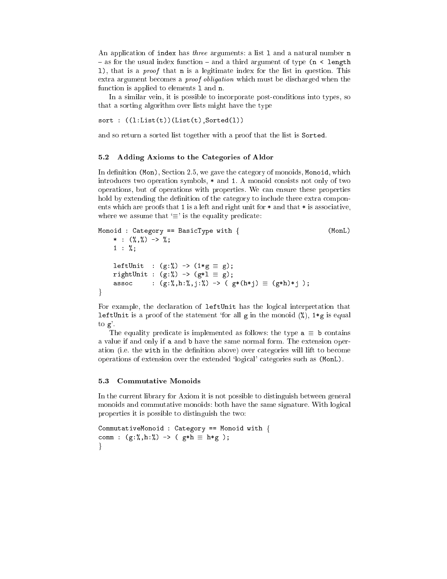An application of index has *three* arguments: a list 1 and a natural number n  $-$  as for the usual index function  $-$  and a third argument of type (n < length l), that is a proof that <sup>n</sup> is a legitimate index for the list in question. This extra argument becomes a *proof obligation* which must be discharged when the function is applied to elements 1 and n.

In a similar vein, it is possible to incorporate post-conditions into types, so that a sorting algorithm over lists might have the type

sort : ((2:22 - (1))(22 - (1))(22 - 12 - 12 - 12 - 12

and so return a sorted list together with a proof that the list is Sorted.

### 5.2 Adding Axioms to the Categories of Aldor

In definition (Mon), Section 2.5, we gave the category of monoids, Monoid, which introduces two operation symbols,  $*$  and 1. A monoid consists not only of two operations, but of operations with properties. We an ensure these properties hold by extending the definition of the category to include three extra components which are proofs that 1 is a left and right unit for  $*$  and that  $*$  is associative, where we assume that  $\equiv$  is the equality predicate:

```
Monoid : Category == Basi
Type with f (MonL)
   * : (%,%) -> %;
   1 : %;
   leftUnit : (g:%) -> (1*g  g);
   right : (g:w) : (g) - (g);
   asso
             : (g; % h: % j: % ) \rightarrow (g * (h * j) \equiv (g * h) * j);g
```
For example, the declaration of **leftUnit** has the logical interpretation that left is a proof of the statement  $f$  is all g in the monoid ( $W$ ),  $\vdots$   $\vdots$  is equal to  $g'$ .

The equality predicate is implemented as follows: the type  $a \equiv b$  contains a value if and only if <sup>a</sup> and <sup>b</sup> have the same normal form. The extension operation (i.e. the with in the definition above) over categories will lift to become operations of extension over the extended `logi
al' ategories su
h as (MonL).

# 5.3 Commutative Monoids

In the urrent library for Axiom it is not possible to distinguish between general monoids and commutative monoids: both have the same signature. With logical properties it is possible to distinguish the two:

CommutativeMonoid : Category == Monoid with <sup>f</sup>  $\blacksquare$  : (g:  $\blacksquare$ ); (g)  $\blacksquare$  ,  $\blacksquare$   $\blacksquare$   $\blacksquare$   $\blacksquare$   $\blacksquare$   $\blacksquare$   $\blacksquare$   $\blacksquare$   $\blacksquare$   $\blacksquare$   $\blacksquare$   $\blacksquare$   $\blacksquare$   $\blacksquare$   $\blacksquare$   $\blacksquare$   $\blacksquare$   $\blacksquare$   $\blacksquare$   $\blacksquare$   $\blacksquare$   $\blacksquare$   $\blacksquare$   $\blacksquare$   $\blacksquare$   $\blacksquare$   $\blacks$ <sup>}</sup>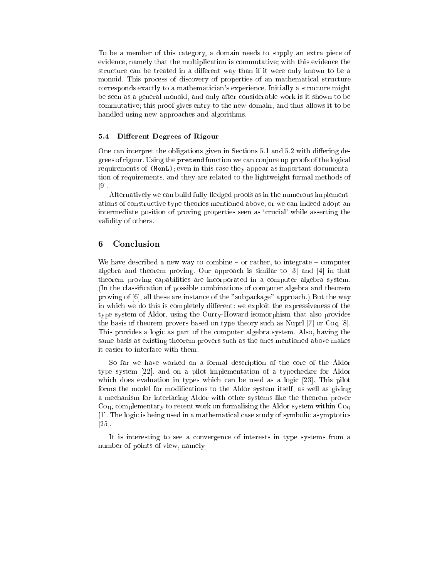To be a member of this category, a domain needs to supply an extra piece of evidence, namely that the multiplication is commutative; with this evidence the structure can be treated in a different way than if it were only known to be a monoid. This process of discovery of properties of an mathematical structure corresponds exactly to a mathematician's experience. Initially a structure might be seen as a general monoid, and only after onsiderable work is it shown to be ommutative; this proof gives entry to the new domain, and thus allows it to be handled using new approa
hes and algorithms.

#### 5.4Different Degrees of Rigour

One can interpret the obligations given in Sections 5.1 and 5.2 with differing degrees of rigour. Using the pretend function we can conjure up proofs of the logical requirements of (MonL); even in this case they appear as important documentation of requirements, and they are related to the lightweight formal methods of  $[9]$ .

Alternatively we can build fully-fledged proofs as in the numerous implementations of onstru
tive type theories mentioned above, or we an indeed adopt an intermediate position of proving properties seen as 'crucial' while asserting the validity of others.

# <sup>6</sup> Con
lusion

We have described a new way to combine  $-$  or rather, to integrate  $-$  computer algebra and theorem proving. Our approach is similar to  $[3]$  and  $[4]$  in that theorem proving apabilities are in
orporated in a omputer algebra system. (In the classification of possible combinations of computer algebra and theorem proving of [6], all these are instance of the "subpackage" approach.) But the way in which we do this is completely different: we exploit the expressiveness of the type system of Aldor, using the Curry-Howard isomorphism that also provides the basis of theorem provers based on type theory such as Nuprl  $[7]$  or Coq  $[8]$ . This provides a logic as part of the computer algebra system. Also, having the same basis as existing theorem provers su
h as the ones mentioned above makes it easier to interfa
e with them.

So far we have worked on a formal description of the core of the Aldor type system  $[22]$ , and on a pilot implementation of a typechecker for Aldor which does evaluation in types which can be used as a logic  $[23]$ . This pilot forms the model for modifications to the Aldor system itself, as well as giving a mechanism for interfacing Aldor with other systems like the theorem prover Coq, omplementary to re
ent work on formalising the Aldor system within Coq  $[1]$ . The logic is being used in a mathematical case study of symbolic asymptotics  $[25]$ .

It is interesting to see a onvergen
e of interests in type systems from a number of points of view, namely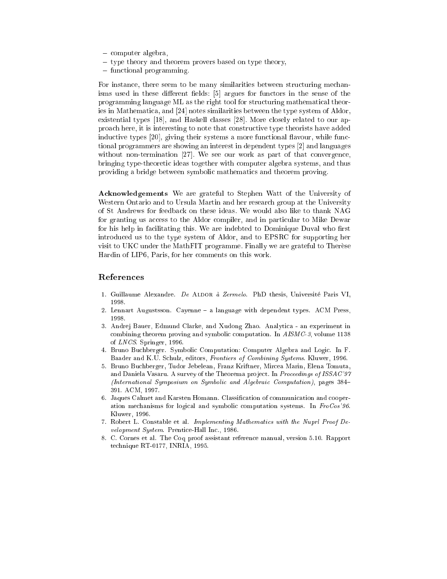- computer algebra,
- $-$  type theory and theorem provers based on type theory,
- $-$  functional programming.

For instance, there seem to be many similarities between structuring mechanisms used in these different fields:  $[5]$  argues for functors in the sense of the programming language ML as the right tool for stru
turing mathemati
al theories in Mathematica, and  $[24]$  notes similarities between the type system of Aldor, existential types [18], and Haskell classes [28]. More closely related to our approa
h here, it is interesting to note that onstru
tive type theorists have added inductive types [20], giving their systems a more functional flavour, while functional programmers are showing an interest in dependent types [2] and languages without non-termination  $[27]$ . We see our work as part of that convergence, bringing type-theoreti ideas together with omputer algebra systems, and thus providing a bridge between symboli mathemati
s and theorem proving.

A
knowledgements We are grateful to Stephen Watt of the University of Western Ontario and to Ursula Martin and her resear
h group at the University of St Andrews for feedba
k on these ideas. We would also like to thank NAG for granting us access to the Aldor compiler, and in particular to Mike Dewar for his help in facilitating this. We are indebted to Dominique Duval who first introdu
ed us to the type system of Aldor, and to EPSRC for supporting her visit to UKC under the MathFIT programme. Finally we are grateful to Therese Hardin of LIP6, Paris, for her omments on this work.

# Referen
es

- 1. Guillaume Alexandre. De ALDOR à Zermelo. PhD thesis, Université Paris VI, 1998.
- 2. Lennart Augustsson. Cayenne a language with dependent types. ACM Press, 1998.
- 3. Andrej Bauer, Edmund Clarke, and Xudong Zhao. Analyti
a an experiment in combining theorem proving and symbolic computation. In  $AISMC-3$ , volume 1138 of LNCS. Springer, 1996.
- 4. Bruno Bu
hberger. Symboli Computation: Computer Algebra and Logi
. In F. Baader and K.U. S
hulz, editors, Frontiers of Combining Systems. Kluwer, 1996.
- 5. Bruno Bu
hberger, Tudor Jebelean, Franz Kriftner, Mir
ea Marin, Elena Tomuta, and Daniela Vasaru. A survey of the Theorema project. In Proceedings of ISSAC'97 (International Symposium on Symbolic and Algebraic Computation), pages 384– 391. ACM, 1997.
- 6. Jaques Calmet and Karsten Homann. Classification of communication and cooperation mechanisms for logical and symbolic computation systems. In FroCos'96. Kluwer, 1996.
- 7. Robert L. Constable et al. Implementing Mathemati
s with the Nuprl Proof Development System. Prentice Hall Inc., 1986.
- 8. C. Cornes et al. The Coq proof assistant referen
e manual, version 5.10. Rapport te
hnique RT-0177, INRIA, 1995.